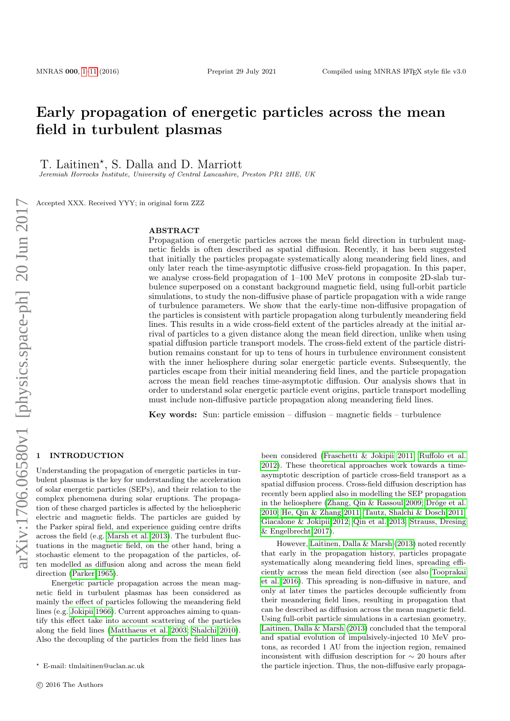# Early propagation of energetic particles across the mean field in turbulent plasmas

T. Laitinen\*, S. Dalla and D. Marriott

Jeremiah Horrocks Institute, University of Central Lancashire, Preston PR1 2HE, UK

Accepted XXX. Received YYY; in original form ZZZ

#### ABSTRACT

Propagation of energetic particles across the mean field direction in turbulent magnetic fields is often described as spatial diffusion. Recently, it has been suggested that initially the particles propagate systematically along meandering field lines, and only later reach the time-asymptotic diffusive cross-field propagation. In this paper, we analyse cross-field propagation of 1–100 MeV protons in composite 2D-slab turbulence superposed on a constant background magnetic field, using full-orbit particle simulations, to study the non-diffusive phase of particle propagation with a wide range of turbulence parameters. We show that the early-time non-diffusive propagation of the particles is consistent with particle propagation along turbulently meandering field lines. This results in a wide cross-field extent of the particles already at the initial arrival of particles to a given distance along the mean field direction, unlike when using spatial diffusion particle transport models. The cross-field extent of the particle distribution remains constant for up to tens of hours in turbulence environment consistent with the inner heliosphere during solar energetic particle events. Subsequently, the particles escape from their initial meandering field lines, and the particle propagation across the mean field reaches time-asymptotic diffusion. Our analysis shows that in order to understand solar energetic particle event origins, particle transport modelling must include non-diffusive particle propagation along meandering field lines.

Key words: Sun: particle emission – diffusion – magnetic fields – turbulence

#### <span id="page-0-0"></span>**INTRODUCTION**

Understanding the propagation of energetic particles in turbulent plasmas is the key for understanding the acceleration of solar energetic particles (SEPs), and their relation to the complex phenomena during solar eruptions. The propagation of these charged particles is affected by the heliospheric electric and magnetic fields. The particles are guided by the Parker spiral field, and experience guiding centre drifts across the field (e.g. [Marsh et al. 2013\)](#page-9-0). The turbulent fluctuations in the magnetic field, on the other hand, bring a stochastic element to the propagation of the particles, often modelled as diffusion along and across the mean field direction [\(Parker 1965\)](#page-9-1).

Energetic particle propagation across the mean magnetic field in turbulent plasmas has been considered as mainly the effect of particles following the meandering field lines (e.g. [Jokipii 1966\)](#page-9-2). Current approaches aiming to quantify this effect take into account scattering of the particles along the field lines [\(Matthaeus et al. 2003;](#page-9-3) [Shalchi 2010\)](#page-9-4). Also the decoupling of the particles from the field lines has

been considered [\(Fraschetti & Jokipii 2011;](#page-8-0) [Ruffolo et al.](#page-9-5) [2012\)](#page-9-5). These theoretical approaches work towards a timeasymptotic description of particle cross-field transport as a spatial diffusion process. Cross-field diffusion description has recently been applied also in modelling the SEP propagation in the heliosphere (Zhang, Qin  $\&$  Rassoul 2009; Dröge et al. [2010;](#page-8-1) [He, Qin & Zhang 2011;](#page-9-7) [Tautz, Shalchi & Dosch 2011;](#page-9-8) [Giacalone & Jokipii 2012;](#page-9-9) [Qin et al. 2013;](#page-9-10) [Strauss, Dresing](#page-9-11) [& Engelbrecht 2017\)](#page-9-11).

However, [Laitinen, Dalla & Marsh](#page-9-12) [\(2013\)](#page-9-12) noted recently that early in the propagation history, particles propagate systematically along meandering field lines, spreading efficiently across the mean field direction (see also [Tooprakai](#page-9-13) [et al. 2016\)](#page-9-13). This spreading is non-diffusive in nature, and only at later times the particles decouple sufficiently from their meandering field lines, resulting in propagation that can be described as diffusion across the mean magnetic field. Using full-orbit particle simulations in a cartesian geometry, [Laitinen, Dalla & Marsh](#page-9-12) [\(2013\)](#page-9-12) concluded that the temporal and spatial evolution of impulsively-injected 10 MeV protons, as recorded 1 AU from the injection region, remained inconsistent with diffusion description for ∼ 20 hours after the particle injection. Thus, the non-diffusive early propaga-

<sup>?</sup> E-mail: tlmlaitinen@uclan.ac.uk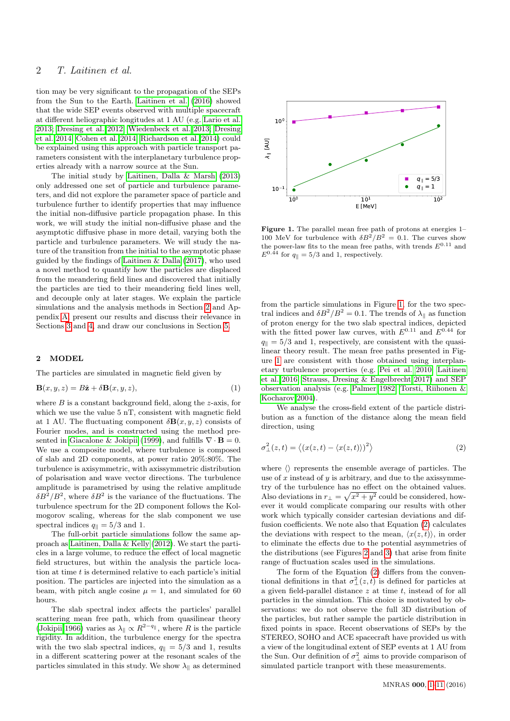tion may be very significant to the propagation of the SEPs from the Sun to the Earth. [Laitinen et al.](#page-9-14) [\(2016\)](#page-9-14) showed that the wide SEP events observed with multiple spacecraft at different heliographic longitudes at 1 AU (e.g. [Lario et al.](#page-9-15) [2013;](#page-9-15) [Dresing et al. 2012;](#page-8-2) [Wiedenbeck et al. 2013;](#page-9-16) [Dresing](#page-8-3) [et al. 2014;](#page-8-3) [Cohen et al. 2014;](#page-8-4) [Richardson et al. 2014\)](#page-9-17) could be explained using this approach with particle transport parameters consistent with the interplanetary turbulence properties already with a narrow source at the Sun.

The initial study by [Laitinen, Dalla & Marsh](#page-9-12) [\(2013\)](#page-9-12) only addressed one set of particle and turbulence parameters, and did not explore the parameter space of particle and turbulence further to identify properties that may influence the initial non-diffusive particle propagation phase. In this work, we will study the initial non-diffusive phase and the asymptotic diffusive phase in more detail, varying both the particle and turbulence parameters. We will study the nature of the transition from the initial to the asymptotic phase guided by the findings of [Laitinen & Dalla](#page-9-18) [\(2017\)](#page-9-18), who used a novel method to quantify how the particles are displaced from the meandering field lines and discovered that initially the particles are tied to their meandering field lines well, and decouple only at later stages. We explain the particle simulations and the analysis methods in Section [2](#page-0-0) and Appendix [A,](#page-9-19) present our results and discuss their relevance in Sections [3](#page-0-0) and [4,](#page-0-0) and draw our conclusions in Section [5.](#page-0-0)

#### 2 MODEL

The particles are simulated in magnetic field given by

$$
\mathbf{B}(x, y, z) = B\hat{\mathbf{z}} + \delta \mathbf{B}(x, y, z),\tag{1}
$$

where  $B$  is a constant background field, along the  $z$ -axis, for which we use the value 5 nT, consistent with magnetic field at 1 AU. The fluctuating component  $\delta \mathbf{B}(x, y, z)$  consists of Fourier modes, and is constructed using the method pre-sented in [Giacalone & Jokipii](#page-8-5) [\(1999\)](#page-8-5), and fulfills  $\nabla \cdot \mathbf{B} = 0$ . We use a composite model, where turbulence is composed of slab and 2D components, at power ratio 20%:80%. The turbulence is axisymmetric, with axissymmetric distribution of polarisation and wave vector directions. The turbulence amplitude is parametrised by using the relative amplitude  $\delta B^2/B^2$ , where  $\delta B^2$  is the variance of the fluctuations. The turbulence spectrum for the 2D component follows the Kolmogorov scaling, whereas for the slab component we use spectral indices  $q_{\parallel} = 5/3$  and 1.

The full-orbit particle simulations follow the same approach as [Laitinen, Dalla & Kelly](#page-9-20) [\(2012\)](#page-9-20). We start the particles in a large volume, to reduce the effect of local magnetic field structures, but within the analysis the particle location at time  $t$  is determined relative to each particle's initial position. The particles are injected into the simulation as a beam, with pitch angle cosine  $\mu = 1$ , and simulated for 60 hours.

The slab spectral index affects the particles' parallel scattering mean free path, which from quasilinear theory [\(Jokipii 1966\)](#page-9-2) varies as  $\lambda_{\parallel} \propto R^{2-q_{\parallel}}$ , where R is the particle rigidity. In addition, the turbulence energy for the spectra with the two slab spectral indices,  $q_{\parallel} = 5/3$  and 1, results in a different scattering power at the resonant scales of the particles simulated in this study. We show  $\lambda_{\parallel}$  as determined



<span id="page-1-0"></span>Figure 1. The parallel mean free path of protons at energies 1– 100 MeV for turbulence with  $\delta B^2/B^2 = 0.1$ . The curves show the power-law fits to the mean free paths, with trends  ${\cal E}^{0.11}$  and  $E^{0.44}$  for  $q_{\parallel} = 5/3$  and 1, respectively.

from the particle simulations in Figure [1,](#page-1-0) for the two spectral indices and  $\delta B^2/B^2 = 0.1$ . The trends of  $\lambda_{\parallel}$  as function of proton energy for the two slab spectral indices, depicted with the fitted power law curves, with  $E^{0.11}$  and  $E^{0.44}$  for  $q_{\parallel} = 5/3$  and 1, respectively, are consistent with the quasilinear theory result. The mean free paths presented in Figure [1](#page-1-0) are consistent with those obtained using interplanetary turbulence properties (e.g. [Pei et al. 2010;](#page-9-21) [Laitinen](#page-9-14) [et al. 2016;](#page-9-14) [Strauss, Dresing & Engelbrecht 2017\)](#page-9-11) and SEP observation analysis (e.g. [Palmer 1982;](#page-9-22) [Torsti, Riihonen &](#page-9-23) [Kocharov 2004\)](#page-9-23).

<span id="page-1-1"></span>We analyse the cross-field extent of the particle distribution as a function of the distance along the mean field direction, using

$$
\sigma_{\perp}^{2}(z,t) = \langle (x(z,t) - \langle x(z,t) \rangle)^{2} \rangle \tag{2}
$$

where  $\langle \rangle$  represents the ensemble average of particles. The use of  $x$  instead of  $y$  is arbitrary, and due to the axissymmetry of the turbulence has no effect on the obtained values. Also deviations in  $r_{\perp} = \sqrt{x^2 + y^2}$  could be considered, however it would complicate comparing our results with other work which typically consider cartesian deviations and diffusion coefficients. We note also that Equation [\(2\)](#page-1-1) calculates the deviations with respect to the mean,  $\langle x(z, t) \rangle$ , in order to eliminate the effects due to the potential asymmetries of the distributions (see Figures [2](#page-2-0) and [3\)](#page-4-0) that arise from finite range of fluctuation scales used in the simulations.

The form of the Equation [\(2\)](#page-1-1) differs from the conventional definitions in that  $\sigma^2_{\perp}(z,t)$  is defined for particles at a given field-parallel distance  $z$  at time  $t$ , instead of for all particles in the simulation. This choice is motivated by observations: we do not observe the full 3D distribution of the particles, but rather sample the particle distribution in fixed points in space. Recent observations of SEPs by the STEREO, SOHO and ACE spacecraft have provided us with a view of the longitudinal extent of SEP events at 1 AU from the Sun. Our definition of  $\sigma_{\perp}^2$  aims to provide comparison of simulated particle tranport with these measurements.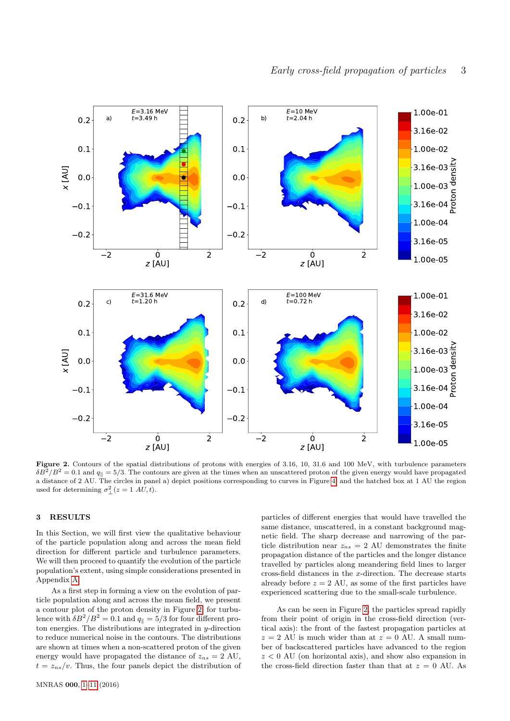

<span id="page-2-0"></span>Figure 2. Contours of the spatial distributions of protons with energies of 3.16, 10, 31.6 and 100 MeV, with turbulence parameters  $\delta B^2/B^2 = 0.1$  and  $q_{\parallel} = 5/3$ . The contours are given at the times when an unscattered proton of the given energy would have propagated a distance of 2 AU. The circles in panel a) depict positions corresponding to curves in Figure [4,](#page-4-1) and the hatched box at 1 AU the region used for determining  $\sigma_{\perp}^2(z=1 \; AU, t)$ .

#### 3 RESULTS

In this Section, we will first view the qualitative behaviour of the particle population along and across the mean field direction for different particle and turbulence parameters. We will then proceed to quantify the evolution of the particle population's extent, using simple considerations presented in Appendix [A.](#page-9-19)

As a first step in forming a view on the evolution of particle population along and across the mean field, we present a contour plot of the proton density in Figure [2,](#page-2-0) for turbulence with  $\delta B^2/B^2 = 0.1$  and  $q_{\parallel} = 5/3$  for four different proton energies. The distributions are integrated in  $y$ -direction to reduce numerical noise in the contours. The distributions are shown at times when a non-scattered proton of the given energy would have propagated the distance of  $z_{ns} = 2$  AU,  $t = z_{ns}/v$ . Thus, the four panels depict the distribution of

particles of different energies that would have travelled the same distance, unscattered, in a constant background magnetic field. The sharp decrease and narrowing of the particle distribution near  $z_{ns} = 2$  AU demonstrates the finite propagation distance of the particles and the longer distance travelled by particles along meandering field lines to larger cross-field distances in the x-direction. The decrease starts already before  $z = 2$  AU, as some of the first particles have experienced scattering due to the small-scale turbulence.

As can be seen in Figure [2,](#page-2-0) the particles spread rapidly from their point of origin in the cross-field direction (vertical axis): the front of the fastest propagation particles at  $z = 2$  AU is much wider than at  $z = 0$  AU. A small number of backscattered particles have advanced to the region  $z < 0$  AU (on horizontal axis), and show also expansion in the cross-field direction faster than that at  $z = 0$  AU. As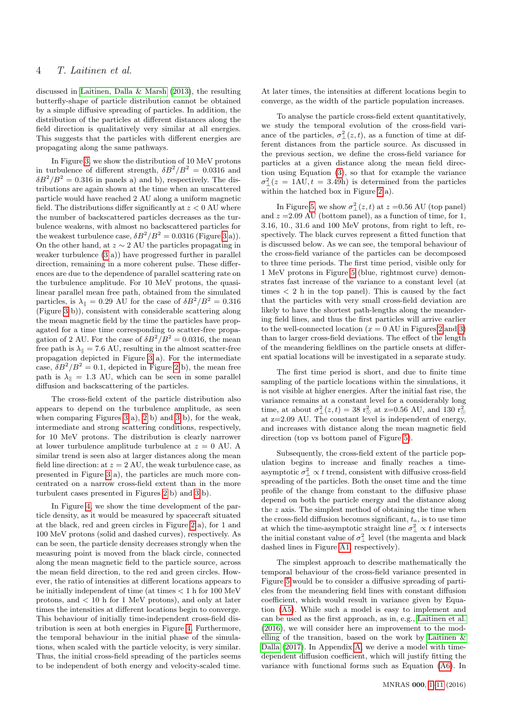discussed in [Laitinen, Dalla & Marsh](#page-9-12) [\(2013\)](#page-9-12), the resulting butterfly-shape of particle distribution cannot be obtained by a simple diffusive spreading of particles. In addition, the distribution of the particles at different distances along the field direction is qualitatively very similar at all energies. This suggests that the particles with different energies are propagating along the same pathways.

In Figure [3,](#page-4-0) we show the distribution of 10 MeV protons in turbulence of different strength,  $\delta B^2/B^2 = 0.0316$  and  $\delta B^2/B^2 = 0.316$  in panels a) and b), respectively. The distributions are again shown at the time when an unscattered particle would have reached 2 AU along a uniform magnetic field. The distributions differ significantly at  $z < 0$  AU where the number of backscattered particles decreases as the turbulence weakens, with almost no backscattered particles for the weakest turbulence case,  $\delta B^2/B^2 = 0.0316$  (Figure [3](#page-4-0) a)). On the other hand, at  $z \sim 2$  AU the particles propagating in weaker turbulence [\(3](#page-4-0) a)) have progressed further in parallel direction, remaining in a more coherent pulse. These differences are due to the dependence of parallel scattering rate on the turbulence amplitude. For 10 MeV protons, the quasilinear parallel mean free path, obtained from the simulated particles, is  $\lambda_{\parallel} = 0.29$  AU for the case of  $\delta B^2/B^2 = 0.316$ (Figure [3](#page-4-0) b)), consistent with considerable scattering along the mean magnetic field by the time the particles have propagated for a time time corresponding to scatter-free propagation of 2 AU. For the case of  $\delta B^2/B^2 = 0.0316$ , the mean free path is  $\lambda_{\parallel} = 7.6$  AU, resulting in the almost scatter-free propagation depicted in Figure [3](#page-4-0) a). For the intermediate case,  $\delta B^2/B^2 = 0.1$ , depicted in Figure [2](#page-2-0) b), the mean free path is  $\lambda_{\parallel} = 1.3$  AU, which can be seen in some parallel diffusion and backscattering of the particles.

The cross-field extent of the particle distribution also appears to depend on the turbulence amplitude, as seen when comparing Figures [3](#page-4-0) a), [2](#page-2-0) b) and [3](#page-4-0) b), for the weak, intermediate and strong scattering conditions, respectively, for 10 MeV protons. The distribution is clearly narrower at lower turbulence amplitude turbulence at  $z = 0$  AU. A similar trend is seen also at larger distances along the mean field line direction: at  $z = 2$  AU, the weak turbulence case, as presented in Figure [3](#page-4-0) a), the particles are much more concentrated on a narrow cross-field extent than in the more turbulent cases presented in Figures [2](#page-2-0) b) and [3](#page-4-0) b).

In Figure [4,](#page-4-1) we show the time development of the particle density, as it would be measured by spacecraft situated at the black, red and green circles in Figure [2](#page-2-0) a), for 1 and 100 MeV protons (solid and dashed curves), respectively. As can be seen, the particle density decreases strongly when the measuring point is moved from the black circle, connected along the mean magnetic field to the particle source, across the mean field direction, to the red and green circles. However, the ratio of intensities at different locations appears to be initially independent of time (at times < 1 h for 100 MeV protons, and < 10 h for 1 MeV protons), and only at later times the intensities at different locations begin to converge. This behaviour of initially time-independent cross-field distribution is seen at both energies in Figure [4.](#page-4-1) Furthermore, the temporal behaviour in the initial phase of the simulations, when scaled with the particle velocity, is very similar. Thus, the initial cross-field spreading of the particles seems to be independent of both energy and velocity-scaled time.

At later times, the intensities at different locations begin to converge, as the width of the particle population increases.

To analyse the particle cross-field extent quantitatively, we study the temporal evolution of the cross-field variance of the particles,  $\sigma_{\perp}^2(z,t)$ , as a function of time at different distances from the particle source. As discussed in the previous section, we define the cross-field variance for particles at a given distance along the mean field direction using Equation [\(3\)](#page-4-2), so that for example the variance  $\sigma_{\perp}^2(z = 1 \text{AU}, t = 3.49 \text{h})$  is determined from the particles within the hatched box in Figure [2](#page-2-0) a).

In Figure [5,](#page-5-0) we show  $\sigma_{\perp}^2(z,t)$  at  $z = 0.56$  AU (top panel) and  $z = 2.09$  AU (bottom panel), as a function of time, for 1, 3.16, 10., 31.6 and 100 MeV protons, from right to left, respectively. The black curves represent a fitted function that is discussed below. As we can see, the temporal behaviour of the cross-field variance of the particles can be decomposed to three time periods. The first time period, visible only for 1 MeV protons in Figure [5](#page-5-0) (blue, rightmost curve) demonstrates fast increase of the variance to a constant level (at times < 2 h in the top panel). This is caused by the fact that the particles with very small cross-field deviation are likely to have the shortest path-lengths along the meandering field lines, and thus the first particles will arrive earlier to the well-connected location  $(x = 0 \text{ AU in Figures 2 and 3})$  $(x = 0 \text{ AU in Figures 2 and 3})$  $(x = 0 \text{ AU in Figures 2 and 3})$ than to larger cross-field deviations. The effect of the length of the meandering fieldlines on the particle onsets at different spatial locations will be investigated in a separate study.

The first time period is short, and due to finite time sampling of the particle locations within the simulations, it is not visible at higher energies. After the initial fast rise, the variance remains at a constant level for a considerably long time, at about  $\sigma_{\perp}^2(z,t) = 38 \text{ r}_{\odot}^2$  at z=0.56 AU, and 130  $\text{r}_{\odot}^2$ at z=2.09 AU. The constant level is independent of energy, and increases with distance along the mean magnetic field direction (top vs bottom panel of Figure [5\)](#page-5-0).

Subsequently, the cross-field extent of the particle population begins to increase and finally reaches a timeasymptotic  $\sigma_{\perp}^2 \propto t$  trend, consistent with diffusive cross-field spreading of the particles. Both the onset time and the time profile of the change from constant to the diffusive phase depend on both the particle energy and the distance along the  $z$  axis. The simplest method of obtaining the time when the cross-field diffusion becomes significant,  $t_a$ , is to use time at which the time-asymptotic straight line  $\sigma_{\perp}^2 \propto t$  intersects the initial constant value of  $\sigma_{\perp}^2$  level (the magenta and black dashed lines in Figure [A1,](#page-9-24) respectively).

The simplest approach to describe mathematically the temporal behaviour of the cross-field variance presented in Figure [5](#page-5-0) would be to consider a diffusive spreading of particles from the meandering field lines with constant diffusion coefficient, which would result in variance given by Equation [\(A5\)](#page-9-25). While such a model is easy to implement and can be used as the first approach, as in, e.g., [Laitinen et al.](#page-9-14) [\(2016\)](#page-9-14), we will consider here an improvement to the modelling of the transition, based on the work by [Laitinen &](#page-9-18) [Dalla](#page-9-18) [\(2017\)](#page-9-18). In Appendix [A,](#page-9-19) we derive a model with timedependent diffusion coefficient, which will justify fitting the variance with functional forms such as Equation [\(A6\)](#page-10-0). In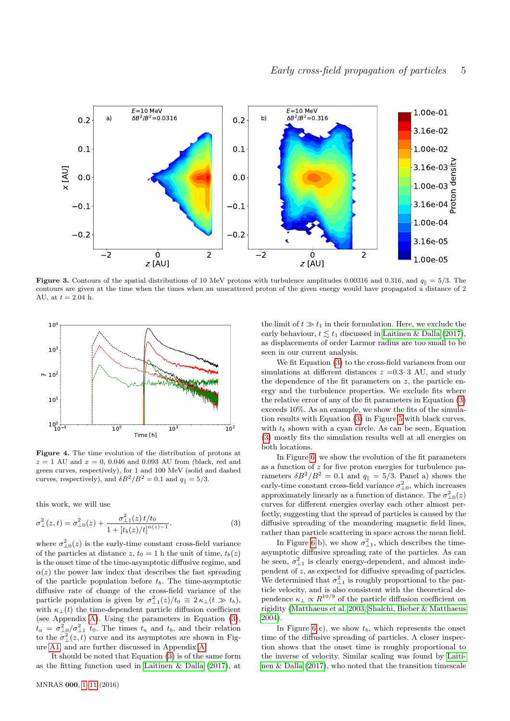

<span id="page-4-0"></span>**Figure 3.** Contours of the spatial distributions of 10 MeV protons with turbulence amplitudes 0.00316 and 0.316, and  $q_{\parallel} = 5/3$ . The contours are given at the time when the times when an unscattered proton of the given energy would have propagated a distance of 2 AU, at  $t = 2.04$  h.



<span id="page-4-1"></span>Figure 4. The time evolution of the distribution of protons at  $z = 1$  AU and  $x = 0$ , 0.046 and 0.093 AU from (black, red and green curves, respectively), for 1 and 100 MeV (solid and dashed curves, respectively), and  $\delta B^2/B^2 = 0.1$  and  $q_{\parallel} = 5/3$ .

<span id="page-4-2"></span>this work, we will use

$$
\sigma_{\perp}^{2}(z,t) = \sigma_{\perp 0}^{2}(z) + \frac{\sigma_{\perp 1}^{2}(z) t/t_{0}}{1 + [t_{b}(z)/t]^{\alpha(z) - 1}}.
$$
\n(3)

where  $\sigma_{\perp 0}^2(z)$  is the early-time constant cross-field variance of the particles at distance z,  $t_0 = 1$  h the unit of time,  $t_b(z)$ is the onset time of the time-asymptotic diffusive regime, and  $\alpha(z)$  the power law index that describes the fast spreading of the particle population before  $t<sub>b</sub>$ . The time-asymptotic diffusive rate of change of the cross-field variance of the particle population is given by  $\sigma_{\perp 1}^2(z)/t_0 \equiv 2 \kappa_{\perp} (t \gg t_b)$ , with  $\kappa_{\perp}(t)$  the time-dependent particle diffusion coefficient (see Appendix [A\)](#page-9-19). Using the parameters in Equation [\(3\)](#page-4-2),  $t_a = \sigma_{\perp 0}^2 / \sigma_{\perp 1}^2$  t<sub>0</sub>. The times  $t_a$  and  $t_b$ , and their relation to the  $\sigma_{\perp}^2(z,t)$  curve and its asymptotes are shown in Figure [A1,](#page-9-24) and are further discussed in Appendix [A.](#page-9-19)

It should be noted that Equation [\(3\)](#page-4-2) is of the same form as the fitting function used in [Laitinen & Dalla](#page-9-18) [\(2017\)](#page-9-18), at

the limit of  $t \gg t_1$  in their formulation. Here, we exclude the early behaviour,  $t \leq t_1$  discussed in [Laitinen & Dalla](#page-9-18) [\(2017\)](#page-9-18), as displacements of order Larmor radius are too small to be seen in our current analysis.

We fit Equation [\(3\)](#page-4-2) to the cross-field variances from our simulations at different distances  $z = 0.3-3$  AU, and study the dependence of the fit parameters on  $z$ , the particle energy and the turbulence properties. We exclude fits where the relative error of any of the fit parameters in Equation [\(3\)](#page-4-2) exceeds 10%. As an example, we show the fits of the simulation results with Equation [\(3\)](#page-4-2) in Figure [5](#page-5-0) with black curves, with  $t_b$  shown with a cyan circle. As can be seen, Equation [\(3\)](#page-4-2) mostly fits the simulation results well at all energies on both locations.

In Figure [6,](#page-6-0) we show the evolution of the fit parameters as a function of  $z$  for five proton energies for turbulence parameters  $\delta B^2/B^2 = 0.1$  and  $q_{\parallel} = 5/3$ . Panel a) shows the early-time constant cross-field variance  $\sigma_{\perp 0}^2$ , which increases approximately linearly as a function of distance. The  $\sigma_{\perp 0}^2(z)$ curves for different energies overlay each other almost perfectly, suggesting that the spread of particles is caused by the diffusive spreading of the meandering magnetic field lines, rather than particle scattering in space across the mean field.

In Figure [6](#page-6-0) b), we show  $\sigma_{\perp 1}^2$ , which describes the timeasymptotic diffusive spreading rate of the particles. As can be seen,  $\sigma_{\perp 1}^2$  is clearly energy-dependent, and almost independent of z, as expected for diffusive spreading of particles. We determined that  $\sigma_{\perp 1}^2$  is roughly proportional to the particle velocity, and is also consistent with the theoretical dependence  $\kappa_{\perp} \propto R^{10/9}$  of the particle diffusion coefficient on rigidity [\(Matthaeus et al. 2003;](#page-9-3) [Shalchi, Bieber & Matthaeus](#page-9-26) [2004\)](#page-9-26).

In Figure [6](#page-6-0) c), we show  $t<sub>b</sub>$ , which represents the onset time of the diffusive spreading of particles. A closer inspection shows that the onset time is roughly proportional to the inverse of velocity. Similar scaling was found by [Laiti](#page-9-18)[nen & Dalla](#page-9-18) [\(2017\)](#page-9-18), who noted that the transition timescale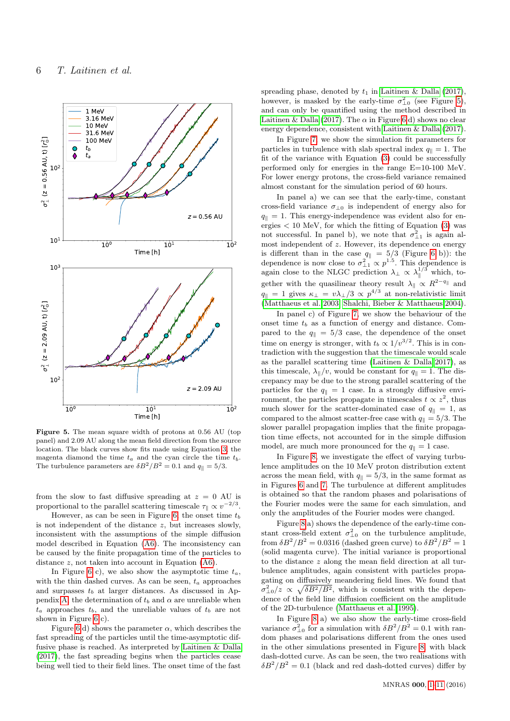

<span id="page-5-0"></span>Figure 5. The mean square width of protons at 0.56 AU (top panel) and 2.09 AU along the mean field direction from the source location. The black curves show fits made using Equation [3,](#page-4-2) the magenta diamond the time  $t_a$  and the cyan circle the time  $t_b$ . The turbulence parameters are  $\delta B^2/B^2 = 0.1$  and  $q_{\parallel} = 5/3$ .

from the slow to fast diffusive spreading at  $z = 0$  AU is proportional to the parallel scattering timescale  $\tau_{\parallel} \propto v^{-2/3}$ .

However, as can be seen in Figure [6,](#page-6-0) the onset time  $t_b$ is not independent of the distance  $z$ , but increases slowly, inconsistent with the assumptions of the simple diffusion model described in Equation [\(A6\)](#page-10-0). The inconsistency can be caused by the finite propagation time of the particles to distance z, not taken into account in Equation [\(A6\)](#page-10-0).

In Figure [6](#page-6-0) c), we also show the asymptotic time  $t_a$ , with the thin dashed curves. As can be seen,  $t_a$  approaches and surpasses  $t_b$  at larger distances. As discussed in Ap-pendix [A,](#page-9-19) the determination of  $t_b$  and  $\alpha$  are unreliable when  $t_a$  approaches  $t_b$ , and the unreliable values of  $t_b$  are not shown in Figure [6](#page-6-0) c).

Figure [6](#page-6-0) d) shows the parameter  $\alpha$ , which describes the fast spreading of the particles until the time-asymptotic diffusive phase is reached. As interpreted by [Laitinen & Dalla](#page-9-18) [\(2017\)](#page-9-18), the fast spreading begins when the particles cease being well tied to their field lines. The onset time of the fast

spreading phase, denoted by  $t_1$  in [Laitinen & Dalla](#page-9-18) [\(2017\)](#page-9-18), however, is masked by the early-time  $\sigma_{\perp 0}^2$  (see Figure [5\)](#page-5-0), and can only be quantified using the method described in [Laitinen & Dalla](#page-9-18) [\(2017\)](#page-9-18). The  $\alpha$  in Figure [6](#page-6-0) d) shows no clear energy dependence, consistent with [Laitinen & Dalla](#page-9-18) [\(2017\)](#page-9-18).

In Figure [7,](#page-7-0) we show the simulation fit parameters for particles in turbulence with slab spectral index  $q_{\parallel} = 1$ . The fit of the variance with Equation [\(3\)](#page-4-2) could be successfully performed only for energies in the range E=10-100 MeV. For lower energy protons, the cross-field variance remained almost constant for the simulation period of 60 hours.

In panel a) we can see that the early-time, constant cross-field variance  $\sigma_{\perp 0}$  is independent of energy also for  $q_{\parallel} = 1$ . This energy-independence was evident also for energies  $< 10$  MeV, for which the fitting of Equation  $(3)$  was not successful. In panel b), we note that  $\sigma_{\perp 1}^2$  is again almost independent of z. However, its dependence on energy is different than in the case  $q_{\parallel} = 5/3$  (Figure [6](#page-6-0) b)): the dependence is now close to  $\sigma_{\perp 1}^2 \propto p^{1.5}$ . This dependence is again close to the NLGC prediction  $\lambda_{\perp} \propto \lambda_{\parallel}^{1/3}$  which, together with the quasilinear theory result  $\lambda_{\parallel} \propto R^{2-q_{\parallel}}$  and  $q_{\parallel} = 1$  gives  $\kappa_{\perp} = v\lambda_{\perp}/3 \propto p^{4/3}$  at non-relativistic limit [\(Matthaeus et al. 2003;](#page-9-3) [Shalchi, Bieber & Matthaeus 2004\)](#page-9-26).

In panel c) of Figure [7,](#page-7-0) we show the behaviour of the onset time  $t_b$  as a function of energy and distance. Compared to the  $q_{\parallel} = 5/3$  case, the dependence of the onset time on energy is stronger, with  $t_b \propto 1/v^{3/2}$ . This is in contradiction with the suggestion that the timescale would scale as the parallel scattering time [\(Laitinen & Dalla 2017\)](#page-9-18), as this timescale,  $\lambda_{\parallel}/v$ , would be constant for  $q_{\parallel} = 1$ . The discrepancy may be due to the strong parallel scattering of the particles for the  $q_{\parallel} = 1$  case. In a strongly diffusive environment, the particles propagate in timescales  $t \propto z^2$ , thus much slower for the scatter-dominated case of  $q_{\parallel} = 1$ , as compared to the almost scatter-free case with  $q_k = 5/3$ . The slower parallel propagation implies that the finite propagation time effects, not accounted for in the simple diffusion model, are much more pronounced for the  $q_{\parallel} = 1$  case.

In Figure [8,](#page-8-6) we investigate the effect of varying turbulence amplitudes on the 10 MeV proton distribution extent across the mean field, with  $q_{\parallel} = 5/3$ , in the same format as in Figures [6](#page-6-0) and [7.](#page-7-0) The turbulence at different amplitudes is obtained so that the random phases and polarisations of the Fourier modes were the same for each simulation, and only the amplitudes of the Fourier modes were changed.

Figure [8](#page-8-6) a) shows the dependence of the early-time constant cross-field extent  $\sigma_{\perp 0}^2$  on the turbulence amplitude, from  $\delta B^2/B^2 = 0.0316$  (dashed green curve) to  $\delta B^2/B^2 = 1$ (solid magenta curve). The initial variance is proportional to the distance z along the mean field direction at all turbulence amplitudes, again consistent with particles propagating on diffusively meandering field lines. We found that  $\sigma_{\perp 0}^2/z \propto \sqrt{\delta B^2/B^2}$ , which is consistent with the dependence of the field line diffusion coefficient on the amplitude of the 2D-turbulence [\(Matthaeus et al. 1995\)](#page-9-27).

In Figure [8](#page-8-6) a) we also show the early-time cross-field variance  $\sigma_{\perp 0}^2$  for a simulation with  $\delta B^2/B^2 = 0.1$  with random phases and polarisations different from the ones used in the other simulations presented in Figure [8,](#page-8-6) with black dash-dotted curve. As can be seen, the two realisations with  $\delta B^2/B^2 = 0.1$  (black and red dash-dotted curves) differ by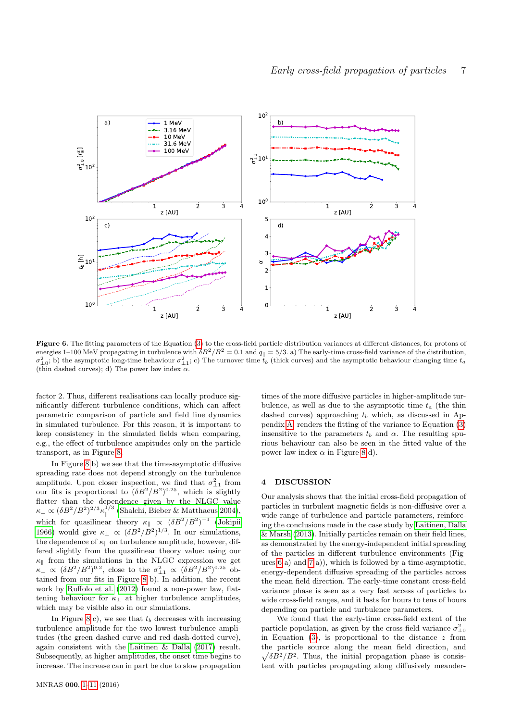

<span id="page-6-0"></span>Figure 6. The fitting parameters of the Equation [\(3\)](#page-4-2) to the cross-field particle distribution variances at different distances, for protons of energies 1–100 MeV propagating in turbulence with  $\delta B^2/B^2 = 0.1$  and  $q_{\parallel} = 5/3$ . a) The early-time cross-field variance of the distribution,  $\sigma_{\perp 0}^2$ ; b) the asymptotic long-time behaviour  $\sigma_{\perp 1}^2$ ; c) The turnover time  $t_b$  (thick curves) and the asymptotic behaviour changing time  $t_a$ (thin dashed curves); d) The power law index  $\alpha$ .

factor 2. Thus, different realisations can locally produce significantly different turbulence conditions, which can affect parametric comparison of particle and field line dynamics in simulated turbulence. For this reason, it is important to keep consistency in the simulated fields when comparing, e.g., the effect of turbulence ampitudes only on the particle transport, as in Figure [8.](#page-8-6)

In Figure [8](#page-8-6) b) we see that the time-asymptotic diffusive spreading rate does not depend strongly on the turbulence amplitude. Upon closer inspection, we find that  $\sigma_{\perp 1}^2$  from our fits is proportional to  $(\delta B^2/B^2)^{0.25}$ , which is slightly flatter than the dependence given by the NLGC value  $\kappa_\perp \propto (\delta B^2/B^2)^{2/3} \kappa_\parallel^{1/3}$  [\(Shalchi, Bieber & Matthaeus 2004\)](#page-9-26), which for quasilinear theory  $\kappa_{\parallel} \propto (\delta B^2/B^2)^{-1}$  [\(Jokipii](#page-9-2) [1966\)](#page-9-2) would give  $\kappa_{\perp} \propto (\delta B^2/B^2)^{1/3}$ . In our simulations, the dependence of  $\kappa_{\parallel}$  on turbulence amplitude, however, differed slightly from the quasilinear theory value: using our  $\kappa_{\parallel}$  from the simulations in the NLGC expression we get  $\kappa_{\perp} \propto (\delta B^2/B^2)^{0.2}$ , close to the  $\sigma_{\perp 1}^2 \propto (\delta B^2/B^2)^{0.25}$  obtained from our fits in Figure [8](#page-8-6) b). In addition, the recent work by [Ruffolo et al.](#page-9-5) [\(2012\)](#page-9-5) found a non-power law, flattening behaviour for  $\kappa_{\perp}$  at higher turbulence amplitudes, which may be visible also in our simulations.

In Figure [8](#page-8-6) c), we see that  $t<sub>b</sub>$  decreases with increasing turbulence amplitude for the two lowest turbulence amplitudes (the green dashed curve and red dash-dotted curve), again consistent with the [Laitinen & Dalla](#page-9-18) [\(2017\)](#page-9-18) result. Subsequently, at higher amplitudes, the onset time begins to increase. The increase can in part be due to slow propagation

times of the more diffusive particles in higher-amplitude turbulence, as well as due to the asymptotic time  $t_a$  (the thin dashed curves) approaching  $t_b$  which, as discussed in Appendix [A,](#page-9-19) renders the fitting of the variance to Equation [\(3\)](#page-4-2) insensitive to the parameters  $t<sub>b</sub>$  and  $\alpha$ . The resulting spurious behaviour can also be seen in the fitted value of the power law index  $\alpha$  in Figure [8](#page-8-6) d).

#### 4 DISCUSSION

Our analysis shows that the initial cross-field propagation of particles in turbulent magnetic fields is non-diffusive over a wide range of turbulence and particle parameters, reinforcing the conclusions made in the case study by [Laitinen, Dalla](#page-9-12) [& Marsh](#page-9-12) [\(2013\)](#page-9-12). Initially particles remain on their field lines, as demonstrated by the energy-independent initial spreading of the particles in different turbulence environments (Figures [6](#page-6-0) a) and [7](#page-7-0) a)), which is followed by a time-asymptotic, energy-dependent diffusive spreading of the particles across the mean field direction. The early-time constant cross-field variance phase is seen as a very fast access of particles to wide cross-field ranges, and it lasts for hours to tens of hours depending on particle and turbulence parameters.

We found that the early-time cross-field extent of the particle population, as given by the cross-field variance  $\sigma_{\perp 0}^2$ in Equation [\(3\)](#page-4-2), is proportional to the distance  $z$  from the particle source along the mean field direction, and  $\sqrt{\delta B^2/B^2}$ . Thus, the initial propagation phase is consistent with particles propagating along diffusively meander-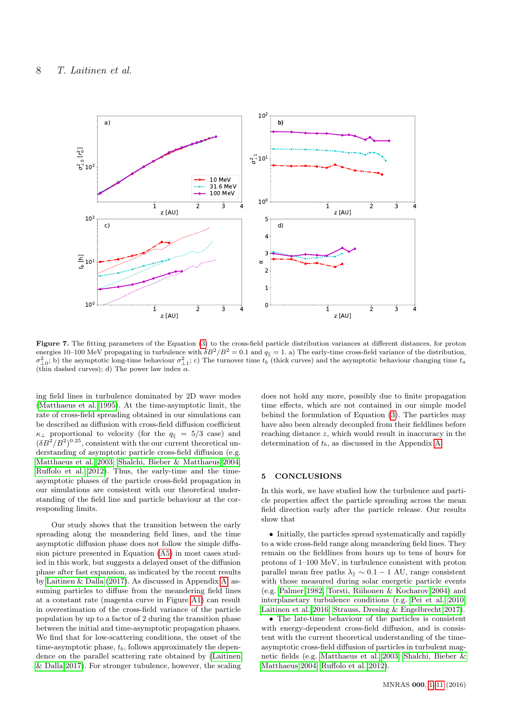

<span id="page-7-0"></span>Figure 7. The fitting parameters of the Equation [\(3\)](#page-4-2) to the cross-field particle distribution variances at different distances, for proton energies 10–100 MeV propagating in turbulence with  $\delta B^2/B^2 = 0.1$  and  $q_{\parallel} = 1$ . a) The early-time cross-field variance of the distribution,  $\sigma_{\perp 0}^2$ ; b) the asymptotic long-time behaviour  $\sigma_{\perp 1}^2$ ; c) The turnover time  $t_b$  (thick curves) and the asymptotic behaviour changing time  $t_a$ (thin dashed curves); d) The power law index  $\alpha$ .

ing field lines in turbulence dominated by 2D wave modes [\(Matthaeus et al. 1995\)](#page-9-27). At the time-asymptotic limit, the rate of cross-field spreading obtained in our simulations can be described as diffusion with cross-field diffusion coefficient  $\kappa_{\perp}$  proportional to velocity (for the  $q_{\parallel} = 5/3$  case) and  $(\delta B^2/B^2)^{0.25}$ , consistent with the our current theoretical understanding of asymptotic particle cross-field diffusion (e.g. [Matthaeus et al. 2003;](#page-9-3) [Shalchi, Bieber & Matthaeus 2004;](#page-9-26) [Ruffolo et al. 2012\)](#page-9-5). Thus, the early-time and the timeasymptotic phases of the particle cross-field propagation in our simulations are consistent with our theoretical understanding of the field line and particle behaviour at the corresponding limits.

Our study shows that the transition between the early spreading along the meandering field lines, and the time asymptotic diffusion phase does not follow the simple diffusion picture presented in Equation [\(A5\)](#page-9-25) in most cases studied in this work, but suggests a delayed onset of the diffusion phase after fast expansion, as indicated by the recent results by [Laitinen & Dalla](#page-9-18) [\(2017\)](#page-9-18). As discussed in Appendix [A,](#page-9-19) assuming particles to diffuse from the meandering field lines at a constant rate (magenta curve in Figure [A1\)](#page-9-24) can result in overestimation of the cross-field variance of the particle population by up to a factor of 2 during the transition phase between the initial and time-asymptotic propagation phases. We find that for low-scattering conditions, the onset of the time-asymptotic phase,  $t<sub>b</sub>$ , follows approximately the dependence on the parallel scattering rate obtained by [\(Laitinen](#page-9-18) [& Dalla 2017\)](#page-9-18). For stronger tubulence, however, the scaling

does not hold any more, possibly due to finite propagation time effects, which are not contained in our simple model behind the formulation of Equation [\(3\)](#page-4-2). The particles may have also been already decoupled from their fieldlines before reaching distance z, which would result in inaccuracy in the determination of  $t<sub>b</sub>$ , as discussed in the Appendix [A.](#page-9-19)

#### 5 CONCLUSIONS

In this work, we have studied how the turbulence and particle properties affect the particle spreading across the mean field direction early after the particle release. Our results show that

• Initially, the particles spread systematically and rapidly to a wide cross-field range along meandering field lines. They remain on the fieldlines from hours up to tens of hours for protons of 1–100 MeV, in turbulence consistent with proton parallel mean free paths  $\lambda_{\parallel} \sim 0.1 - 1$  AU, range consistent with those measured during solar energetic particle events (e.g. [Palmer 1982;](#page-9-22) [Torsti, Riihonen & Kocharov 2004\)](#page-9-23) and interplanetary turbulence conditions (r.g. [Pei et al. 2010;](#page-9-21) [Laitinen et al. 2016;](#page-9-14) [Strauss, Dresing & Engelbrecht 2017\)](#page-9-11).

• The late-time behaviour of the particles is consistent with energy-dependent cross-field diffusion, and is consistent with the current theoretical understanding of the timeasymptotic cross-field diffusion of particles in turbulent magnetic fields (e.g. [Matthaeus et al. 2003;](#page-9-3) [Shalchi, Bieber &](#page-9-26) [Matthaeus 2004;](#page-9-26) [Ruffolo et al. 2012\)](#page-9-5).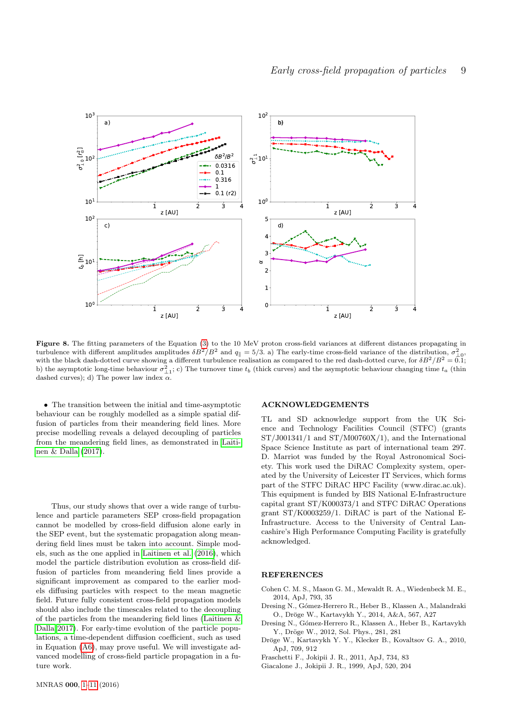

<span id="page-8-6"></span>Figure 8. The fitting parameters of the Equation [\(3\)](#page-4-2) to the 10 MeV proton cross-field variances at different distances propagating in turbulence with different amplitudes amplitudes  $\delta B^2/B^2$  and  $q_{\parallel} = 5/3$ . a) The early-time cross-field variance of the distribution,  $\sigma_{\perp 0}^2$ , with the black dash-dotted curve showing a different turbulence realisation as compared to the red dash-dotted curve, for  $\delta B^2/B^2 = 0.1$ ; b) the asymptotic long-time behaviour  $\sigma_{\perp 1}^2$ ; c) The turnover time  $t_b$  (thick curves) and the asymptotic behaviour changing time  $t_a$  (thin dashed curves); d) The power law index  $\alpha$ .

• The transition between the initial and time-asymptotic behaviour can be roughly modelled as a simple spatial diffusion of particles from their meandering field lines. More precise modelling reveals a delayed decoupling of particles from the meandering field lines, as demonstrated in [Laiti](#page-9-18)[nen & Dalla](#page-9-18) [\(2017\)](#page-9-18).

Thus, our study shows that over a wide range of turbulence and particle parameters SEP cross-field propagation cannot be modelled by cross-field diffusion alone early in the SEP event, but the systematic propagation along meandering field lines must be taken into account. Simple models, such as the one applied in [Laitinen et al.](#page-9-14) [\(2016\)](#page-9-14), which model the particle distribution evolution as cross-field diffusion of particles from meandering field lines provide a significant improvement as compared to the earlier models diffusing particles with respect to the mean magnetic field. Future fully consistent cross-field propagation models should also include the timescales related to the decoupling of the particles from the meandering field lines [\(Laitinen &](#page-9-18) [Dalla 2017\)](#page-9-18). For early-time evolution of the particle populations, a time-dependent diffusion coefficient, such as used in Equation [\(A6\)](#page-10-0), may prove useful. We will investigate advanced modelling of cross-field particle propagation in a future work.

# ACKNOWLEDGEMENTS

TL and SD acknowledge support from the UK Science and Technology Facilities Council (STFC) (grants ST/J001341/1 and ST/M00760X/1), and the International Space Science Institute as part of international team 297. D. Marriot was funded by the Royal Astronomical Society. This work used the DiRAC Complexity system, operated by the University of Leicester IT Services, which forms part of the STFC DiRAC HPC Facility (www.dirac.ac.uk). This equipment is funded by BIS National E-Infrastructure capital grant ST/K000373/1 and STFC DiRAC Operations grant ST/K0003259/1. DiRAC is part of the National E-Infrastructure. Access to the University of Central Lancashire's High Performance Computing Facility is gratefully acknowledged.

### **REFERENCES**

- <span id="page-8-4"></span>Cohen C. M. S., Mason G. M., Mewaldt R. A., Wiedenbeck M. E., 2014, ApJ, 793, 35
- <span id="page-8-3"></span>Dresing N., Gómez-Herrero R., Heber B., Klassen A., Malandraki O., Dröge W., Kartavykh Y., 2014, A&A, 567, A27
- <span id="page-8-2"></span>Dresing N., Gómez-Herrero R., Klassen A., Heber B., Kartavykh Y., Dröge W., 2012, Sol. Phys., 281, 281
- <span id="page-8-1"></span>Dröge W., Kartavykh Y. Y., Klecker B., Kovaltsov G. A., 2010, ApJ, 709, 912
- <span id="page-8-0"></span>Fraschetti F., Jokipii J. R., 2011, ApJ, 734, 83
- <span id="page-8-5"></span>Giacalone J., Jokipii J. R., 1999, ApJ, 520, 204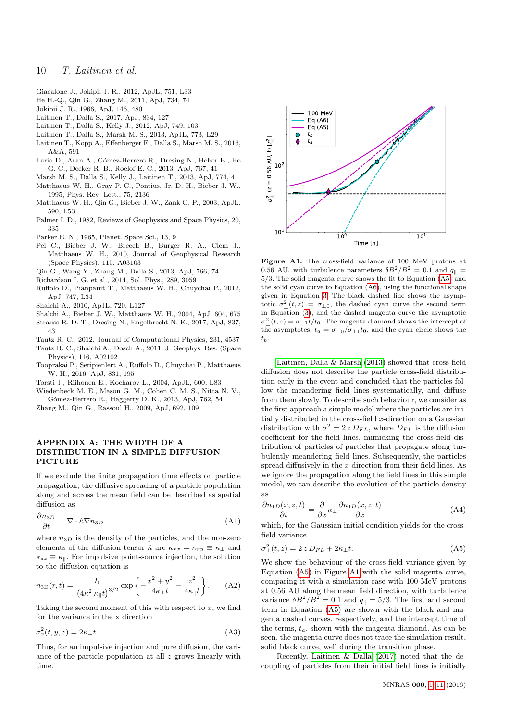- <span id="page-9-9"></span>Giacalone J., Jokipii J. R., 2012, ApJL, 751, L33
- <span id="page-9-7"></span>He H.-Q., Qin G., Zhang M., 2011, ApJ, 734, 74
- <span id="page-9-2"></span>Jokipii J. R., 1966, ApJ, 146, 480
- <span id="page-9-18"></span>Laitinen T., Dalla S., 2017, ApJ, 834, 127
- <span id="page-9-20"></span>Laitinen T., Dalla S., Kelly J., 2012, ApJ, 749, 103
- <span id="page-9-12"></span>Laitinen T., Dalla S., Marsh M. S., 2013, ApJL, 773, L29
- <span id="page-9-14"></span>Laitinen T., Kopp A., Effenberger F., Dalla S., Marsh M. S., 2016, A&A, 591
- <span id="page-9-15"></span>Lario D., Aran A., Gómez-Herrero R., Dresing N., Heber B., Ho G. C., Decker R. B., Roelof E. C., 2013, ApJ, 767, 41
- <span id="page-9-27"></span><span id="page-9-0"></span>Marsh M. S., Dalla S., Kelly J., Laitinen T., 2013, ApJ, 774, 4 Matthaeus W. H., Gray P. C., Pontius, Jr. D. H., Bieber J. W., 1995, Phys. Rev. Lett., 75, 2136
- <span id="page-9-3"></span>Matthaeus W. H., Qin G., Bieber J. W., Zank G. P., 2003, ApJL, 590, L53
- <span id="page-9-22"></span>Palmer I. D., 1982, Reviews of Geophysics and Space Physics, 20, 335
- <span id="page-9-1"></span>Parker E. N., 1965, Planet. Space Sci., 13, 9
- <span id="page-9-21"></span>Pei C., Bieber J. W., Breech B., Burger R. A., Clem J., Matthaeus W. H., 2010, Journal of Geophysical Research (Space Physics), 115, A03103
- <span id="page-9-10"></span>Qin G., Wang Y., Zhang M., Dalla S., 2013, ApJ, 766, 74
- <span id="page-9-17"></span>Richardson I. G. et al., 2014, Sol. Phys., 289, 3059
- <span id="page-9-5"></span>Ruffolo D., Pianpanit T., Matthaeus W. H., Chuychai P., 2012, ApJ, 747, L34
- <span id="page-9-4"></span>Shalchi A., 2010, ApJL, 720, L127
- <span id="page-9-26"></span>Shalchi A., Bieber J. W., Matthaeus W. H., 2004, ApJ, 604, 675
- <span id="page-9-11"></span>Strauss R. D. T., Dresing N., Engelbrecht N. E., 2017, ApJ, 837, 43
- <span id="page-9-8"></span>Tautz R. C., 2012, Journal of Computational Physics, 231, 4537 Tautz R. C., Shalchi A., Dosch A., 2011, J. Geophys. Res. (Space
- Physics), 116, A02102
- <span id="page-9-13"></span>Tooprakai P., Seripienlert A., Ruffolo D., Chuychai P., Matthaeus W. H., 2016, ApJ, 831, 195
- <span id="page-9-23"></span>Torsti J., Riihonen E., Kocharov L., 2004, ApJL, 600, L83
- <span id="page-9-16"></span>Wiedenbeck M. E., Mason G. M., Cohen C. M. S., Nitta N. V., G´omez-Herrero R., Haggerty D. K., 2013, ApJ, 762, 54
- <span id="page-9-6"></span>Zhang M., Qin G., Rassoul H., 2009, ApJ, 692, 109

## <span id="page-9-19"></span>APPENDIX A: THE WIDTH OF A DISTRIBUTION IN A SIMPLE DIFFUSION PICTURE

If we exclude the finite propagation time effects on particle propagation, the diffusive spreading of a particle population along and across the mean field can be described as spatial diffusion as

$$
\frac{\partial n_{3D}}{\partial t} = \nabla \cdot \hat{\kappa} \nabla n_{3D} \tag{A1}
$$

where  $n_{3D}$  is the density of the particles, and the non-zero elements of the diffusion tensor  $\hat{\kappa}$  are  $\kappa_{xx} = \kappa_{yy} \equiv \kappa_{\perp}$  and  $\kappa_{zz} \equiv \kappa_{\parallel}$ . For impulsive point-source injection, the solution to the diffusion equation is

$$
n_{3D}(r,t) = \frac{I_0}{\left(4\kappa_{\perp}^2 \kappa_{\parallel} t\right)^{3/2}} \exp\left\{-\frac{x^2 + y^2}{4\kappa_{\perp} t} - \frac{z^2}{4\kappa_{\parallel} t}\right\}.
$$
 (A2)

Taking the second moment of this with respect to  $x$ , we find for the variance in the x direction

$$
\sigma_x^2(t, y, z) = 2\kappa_\perp t \tag{A3}
$$

Thus, for an impulsive injection and pure diffusion, the variance of the particle population at all  $z$  grows linearly with time.



<span id="page-9-24"></span>Figure A1. The cross-field variance of 100 MeV protons at 0.56 AU, with turbulence parameters  $\delta B^2/B^2 = 0.1$  and  $q_{\parallel} =$ 5/3. The solid magenta curve shows the fit to Equation [\(A5\)](#page-9-25) and the solid cyan curve to Equation [\(A6\)](#page-10-0), using the functional shape given in Equation [3.](#page-4-2) The black dashed line shows the asymptotic  $\sigma_{\perp}^2(t,z) = \sigma_{\perp 0}$ , the dashed cyan curve the second term in Equation [\(3\)](#page-4-2), and the dashed magenta curve the asymptotic  $\sigma_{\perp}^2(t, z) = \sigma_{\perp 1} t/t_0$ . The magenta diamond shows the intercept of the asymptotes,  $t_a = \frac{\sigma_{\perp 0}}{\sigma_{\perp 1} t_0}$ , and the cyan circle shows the  $t_b$ .

[Laitinen, Dalla & Marsh](#page-9-12) [\(2013\)](#page-9-12) showed that cross-field diffusion does not describe the particle cross-field distribution early in the event and concluded that the particles follow the meandering field lines systematically, and diffuse from them slowly. To describe such behaviour, we consider as the first approach a simple model where the particles are initially distributed in the cross-field x-direction on a Gaussian distribution with  $\sigma^2 = 2 z D_{FL}$ , where  $D_{FL}$  is the diffusion coefficient for the field lines, mimicking the cross-field distribution of particles of particles that propagate along turbulently meandering field lines. Subsequently, the particles spread diffusively in the x-direction from their field lines. As we ignore the propagation along the field lines in this simple model, we can describe the evolution of the particle density as

<span id="page-9-28"></span>
$$
\frac{\partial n_{1D}(x,z,t)}{\partial t} = \frac{\partial}{\partial x} \kappa_{\perp} \frac{\partial n_{1D}(x,z,t)}{\partial x}
$$
(A4)

<span id="page-9-25"></span>which, for the Gaussian initial condition yields for the crossfield variance

$$
\sigma_{\perp}^{2}(t,z) = 2 z D_{FL} + 2\kappa_{\perp} t. \tag{A5}
$$

We show the behaviour of the cross-field variance given by Equation [\(A5\)](#page-9-25) in Figure [A1](#page-9-24) with the solid magenta curve, comparing it with a simulation case with 100 MeV protons at 0.56 AU along the mean field direction, with turbulence variance  $\delta B^2/B^2 = 0.1$  and  $q_{\parallel} = 5/3$ . The first and second term in Equation [\(A5\)](#page-9-25) are shown with the black and magenta dashed curves, respectively, and the intercept time of the terms,  $t_a$ , shown with the magenta diamond. As can be seen, the magenta curve does not trace the simulation result, solid black curve, well during the transition phase.

<span id="page-9-29"></span>Recently, [Laitinen & Dalla](#page-9-18) [\(2017\)](#page-9-18) noted that the decoupling of particles from their initial field lines is initially